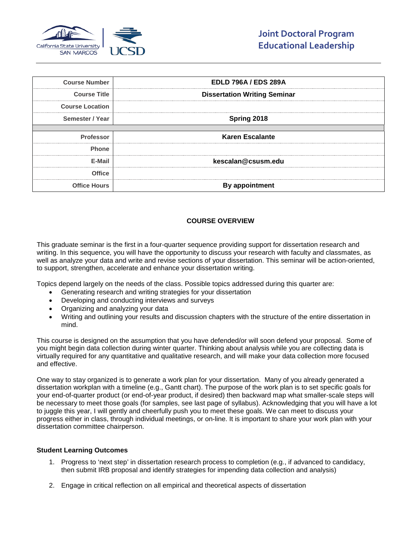

| <b>Course Number</b>   | <b>EDLD 796A / EDS 289A</b>         |
|------------------------|-------------------------------------|
| <b>Course Title</b>    | <b>Dissertation Writing Seminar</b> |
| <b>Course Location</b> |                                     |
| Semester / Year        | Spring 2018                         |
|                        |                                     |
| <b>Professor</b>       | <b>Karen Escalante</b>              |
| <b>Phone</b>           |                                     |
| F-Mail                 | kescalan@csusm.edu                  |
| Office                 |                                     |
| <b>Office Hours</b>    | <b>By appointment</b>               |

# **COURSE OVERVIEW**

This graduate seminar is the first in a four-quarter sequence providing support for dissertation research and writing. In this sequence, you will have the opportunity to discuss your research with faculty and classmates, as well as analyze your data and write and revise sections of your dissertation. This seminar will be action-oriented, to support, strengthen, accelerate and enhance your dissertation writing.

Topics depend largely on the needs of the class. Possible topics addressed during this quarter are:

- Generating research and writing strategies for your dissertation
- Developing and conducting interviews and surveys
- Organizing and analyzing your data
- Writing and outlining your results and discussion chapters with the structure of the entire dissertation in mind.

This course is designed on the assumption that you have defended/or will soon defend your proposal. Some of you might begin data collection during winter quarter. Thinking about analysis while you are collecting data is virtually required for any quantitative and qualitative research, and will make your data collection more focused and effective.

One way to stay organized is to generate a work plan for your dissertation. Many of you already generated a dissertation workplan with a timeline (e.g., Gantt chart). The purpose of the work plan is to set specific goals for your end-of-quarter product (or end-of-year product, if desired) then backward map what smaller-scale steps will be necessary to meet those goals (for samples, see last page of syllabus). Acknowledging that you will have a lot to juggle this year, I will gently and cheerfully push you to meet these goals. We can meet to discuss your progress either in class, through individual meetings, or on-line. It is important to share your work plan with your dissertation committee chairperson.

#### **Student Learning Outcomes**

- 1. Progress to 'next step' in dissertation research process to completion (e.g., if advanced to candidacy, then submit IRB proposal and identify strategies for impending data collection and analysis)
- 2. Engage in critical reflection on all empirical and theoretical aspects of dissertation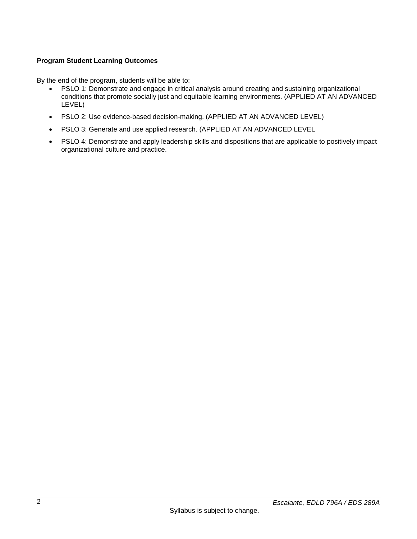# **Program Student Learning Outcomes**

By the end of the program, students will be able to:

- PSLO 1: Demonstrate and engage in critical analysis around creating and sustaining organizational conditions that promote socially just and equitable learning environments. (APPLIED AT AN ADVANCED LEVEL)
- PSLO 2: Use evidence-based decision-making. (APPLIED AT AN ADVANCED LEVEL)
- PSLO 3: Generate and use applied research. (APPLIED AT AN ADVANCED LEVEL
- PSLO 4: Demonstrate and apply leadership skills and dispositions that are applicable to positively impact organizational culture and practice.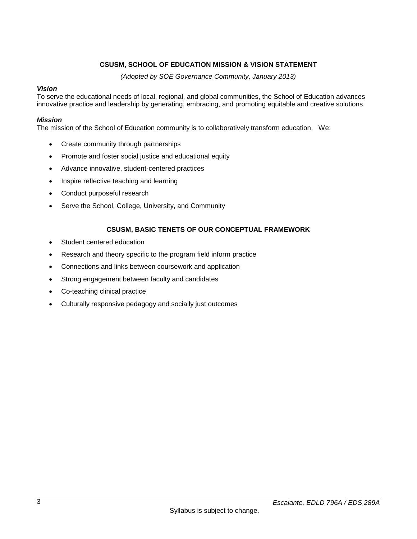# **CSUSM, SCHOOL OF EDUCATION MISSION & VISION STATEMENT**

*(Adopted by SOE Governance Community, January 2013)*

### *Vision*

To serve the educational needs of local, regional, and global communities, the School of Education advances innovative practice and leadership by generating, embracing, and promoting equitable and creative solutions.

### *Mission*

The mission of the School of Education community is to collaboratively transform education. We:

- Create community through partnerships
- Promote and foster social justice and educational equity
- Advance innovative, student-centered practices
- Inspire reflective teaching and learning
- Conduct purposeful research
- Serve the School, College, University, and Community

## **CSUSM, BASIC TENETS OF OUR CONCEPTUAL FRAMEWORK**

- Student centered education
- Research and theory specific to the program field inform practice
- Connections and links between coursework and application
- Strong engagement between faculty and candidates
- Co-teaching clinical practice
- Culturally responsive pedagogy and socially just outcomes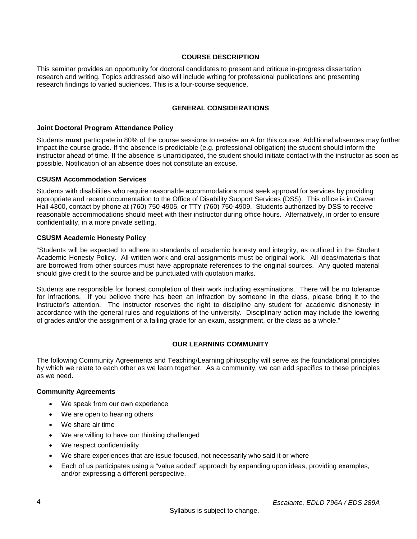## **COURSE DESCRIPTION**

This seminar provides an opportunity for doctoral candidates to present and critique in-progress dissertation research and writing. Topics addressed also will include writing for professional publications and presenting research findings to varied audiences. This is a four-course sequence.

## **GENERAL CONSIDERATIONS**

### **Joint Doctoral Program Attendance Policy**

Students *must* participate in 80% of the course sessions to receive an A for this course. Additional absences may further impact the course grade. If the absence is predictable (e.g. professional obligation) the student should inform the instructor ahead of time. If the absence is unanticipated, the student should initiate contact with the instructor as soon as possible. Notification of an absence does not constitute an excuse.

### **CSUSM Accommodation Services**

Students with disabilities who require reasonable accommodations must seek approval for services by providing appropriate and recent documentation to the Office of Disability Support Services (DSS). This office is in Craven Hall 4300, contact by phone at (760) 750-4905, or TTY (760) 750-4909. Students authorized by DSS to receive reasonable accommodations should meet with their instructor during office hours. Alternatively, in order to ensure confidentiality, in a more private setting.

## **CSUSM Academic Honesty Policy**

"Students will be expected to adhere to standards of academic honesty and integrity, as outlined in the Student Academic Honesty Policy. All written work and oral assignments must be original work. All ideas/materials that are borrowed from other sources must have appropriate references to the original sources. Any quoted material should give credit to the source and be punctuated with quotation marks.

Students are responsible for honest completion of their work including examinations. There will be no tolerance for infractions. If you believe there has been an infraction by someone in the class, please bring it to the instructor's attention. The instructor reserves the right to discipline any student for academic dishonesty in accordance with the general rules and regulations of the university. Disciplinary action may include the lowering of grades and/or the assignment of a failing grade for an exam, assignment, or the class as a whole."

## **OUR LEARNING COMMUNITY**

The following Community Agreements and Teaching/Learning philosophy will serve as the foundational principles by which we relate to each other as we learn together. As a community, we can add specifics to these principles as we need.

### **Community Agreements**

- We speak from our own experience
- We are open to hearing others
- We share air time
- We are willing to have our thinking challenged
- We respect confidentiality
- We share experiences that are issue focused, not necessarily who said it or where
- Each of us participates using a "value added" approach by expanding upon ideas, providing examples, and/or expressing a different perspective.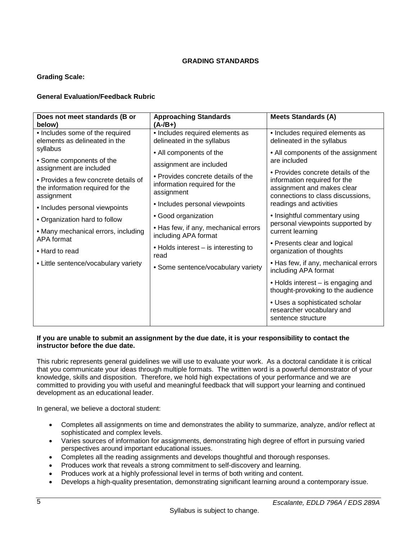# **GRADING STANDARDS**

# **Grading Scale:**

# **General Evaluation/Feedback Rubric**

| Does not meet standards (B or<br>below)                                                | <b>Approaching Standards</b><br>$(A - /B + )$                                    | <b>Meets Standards (A)</b>                                                                                                                                                                                             |
|----------------------------------------------------------------------------------------|----------------------------------------------------------------------------------|------------------------------------------------------------------------------------------------------------------------------------------------------------------------------------------------------------------------|
| • Includes some of the required<br>elements as delineated in the                       | • Includes required elements as<br>delineated in the syllabus                    | • Includes required elements as<br>delineated in the syllabus                                                                                                                                                          |
| syllabus                                                                               | • All components of the                                                          | • All components of the assignment<br>are included<br>• Provides concrete details of the<br>information required for the<br>assignment and makes clear<br>connections to class discussions,<br>readings and activities |
| • Some components of the<br>assignment are included                                    | assignment are included                                                          |                                                                                                                                                                                                                        |
| • Provides a few concrete details of<br>the information required for the<br>assignment | • Provides concrete details of the<br>information required for the<br>assignment |                                                                                                                                                                                                                        |
| • Includes personal viewpoints                                                         | • Includes personal viewpoints                                                   |                                                                                                                                                                                                                        |
| • Organization hard to follow                                                          | • Good organization                                                              | • Insightful commentary using<br>personal viewpoints supported by<br>current learning<br>• Presents clear and logical<br>organization of thoughts                                                                      |
| • Many mechanical errors, including<br>APA format                                      | • Has few, if any, mechanical errors<br>including APA format                     |                                                                                                                                                                                                                        |
| • Hard to read                                                                         | • Holds interest – is interesting to<br>read                                     |                                                                                                                                                                                                                        |
| • Little sentence/vocabulary variety                                                   | • Some sentence/vocabulary variety                                               | • Has few, if any, mechanical errors<br>including APA format                                                                                                                                                           |
|                                                                                        |                                                                                  | • Holds interest – is engaging and<br>thought-provoking to the audience                                                                                                                                                |
|                                                                                        |                                                                                  | • Uses a sophisticated scholar<br>researcher vocabulary and<br>sentence structure                                                                                                                                      |

### **If you are unable to submit an assignment by the due date, it is your responsibility to contact the instructor before the due date.**

This rubric represents general guidelines we will use to evaluate your work. As a doctoral candidate it is critical that you communicate your ideas through multiple formats. The written word is a powerful demonstrator of your knowledge, skills and disposition. Therefore, we hold high expectations of your performance and we are committed to providing you with useful and meaningful feedback that will support your learning and continued development as an educational leader.

In general, we believe a doctoral student:

- Completes all assignments on time and demonstrates the ability to summarize, analyze, and/or reflect at sophisticated and complex levels.
- Varies sources of information for assignments, demonstrating high degree of effort in pursuing varied perspectives around important educational issues.
- Completes all the reading assignments and develops thoughtful and thorough responses.
- Produces work that reveals a strong commitment to self-discovery and learning.
- Produces work at a highly professional level in terms of both writing and content.
- Develops a high-quality presentation, demonstrating significant learning around a contemporary issue.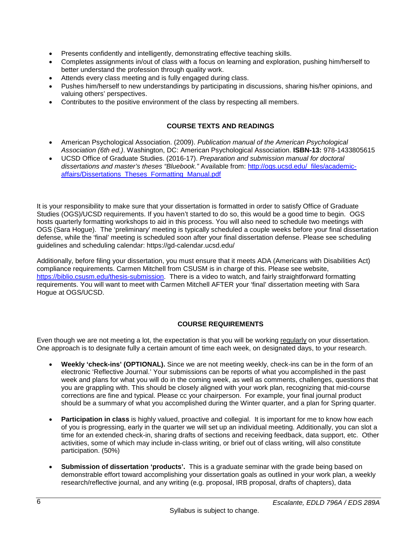- Presents confidently and intelligently, demonstrating effective teaching skills.
- Completes assignments in/out of class with a focus on learning and exploration, pushing him/herself to better understand the profession through quality work.
- Attends every class meeting and is fully engaged during class.
- Pushes him/herself to new understandings by participating in discussions, sharing his/her opinions, and valuing others' perspectives.
- Contributes to the positive environment of the class by respecting all members.

# **COURSE TEXTS AND READINGS**

- American Psychological Association. (2009). *Publication manual of the American Psychological Association (6th ed.)*. Washington, DC: American Psychological Association. **ISBN-13:** 978-1433805615
- UCSD Office of Graduate Studies. (2016-17). *Preparation and submission manual for doctoral dissertations and master's theses "Bluebook."* Available from: [http://ogs.ucsd.edu/\\_files/academic](http://ogs.ucsd.edu/_files/academic-affairs/Dissertations_Theses_Formatting_Manual.pdf)[affairs/Dissertations\\_Theses\\_Formatting\\_Manual.pdf](http://ogs.ucsd.edu/_files/academic-affairs/Dissertations_Theses_Formatting_Manual.pdf)

It is your responsibility to make sure that your dissertation is formatted in order to satisfy Office of Graduate Studies (OGS)/UCSD requirements. If you haven't started to do so, this would be a good time to begin. OGS hosts quarterly formatting workshops to aid in this process. You will also need to schedule two meetings with OGS (Sara Hogue). The 'preliminary' meeting is typically scheduled a couple weeks before your final dissertation defense, while the 'final' meeting is scheduled soon after your final dissertation defense. Please see scheduling guidelines and scheduling calendar: https://gd-calendar.ucsd.edu/

Additionally, before filing your dissertation, you must ensure that it meets ADA (Americans with Disabilities Act) compliance requirements. Carmen Mitchell from CSUSM is in charge of this. Please see website, [https://biblio.csusm.edu/thesis-submission.](https://biblio.csusm.edu/thesis-submission) There is a video to watch, and fairly straightforward formatting requirements. You will want to meet with Carmen Mitchell AFTER your 'final' dissertation meeting with Sara Hogue at OGS/UCSD.

# **COURSE REQUIREMENTS**

Even though we are not meeting a lot, the expectation is that you will be working regularly on your dissertation. One approach is to designate fully a certain amount of time each week, on designated days, to your research.

- **Weekly 'check-ins' (OPTIONAL).** Since we are not meeting weekly, check-ins can be in the form of an electronic 'Reflective Journal.' Your submissions can be reports of what you accomplished in the past week and plans for what you will do in the coming week, as well as comments, challenges, questions that you are grappling with. This should be closely aligned with your work plan, recognizing that mid-course corrections are fine and typical. Please cc your chairperson. For example, your final journal product should be a summary of what you accomplished during the Winter quarter, and a plan for Spring quarter.
- **Participation in class** is highly valued, proactive and collegial. It is important for me to know how each of you is progressing, early in the quarter we will set up an individual meeting. Additionally, you can slot a time for an extended check-in, sharing drafts of sections and receiving feedback, data support, etc. Other activities, some of which may include in-class writing, or brief out of class writing, will also constitute participation. (50%)
- **Submission of dissertation 'products'.** This is a graduate seminar with the grade being based on demonstrable effort toward accomplishing your dissertation goals as outlined in your work plan, a weekly research/reflective journal, and any writing (e.g. proposal, IRB proposal, drafts of chapters), data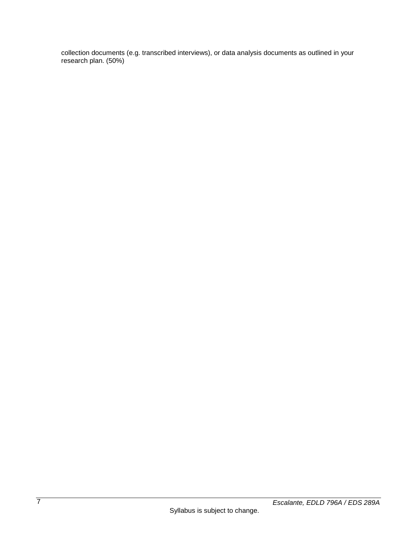collection documents (e.g. transcribed interviews), or data analysis documents as outlined in your research plan. (50%)